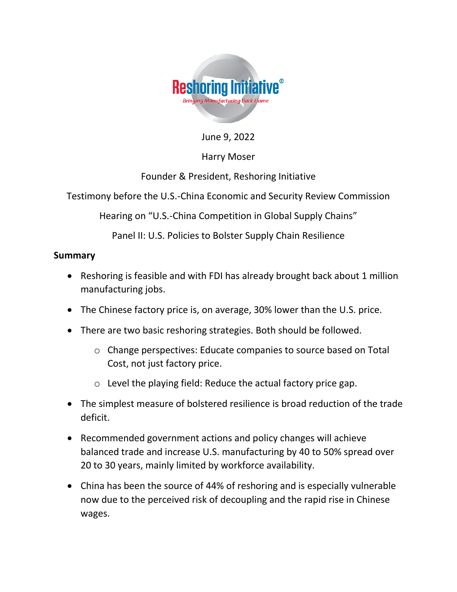

June 9, 2022

### Harry Moser

Founder & President, Reshoring Initiative

Testimony before the U.S.-China Economic and Security Review Commission

Hearing on "U.S.-China Competition in Global Supply Chains"

Panel II: U.S. Policies to Bolster Supply Chain Resilience

### **Summary**

- Reshoring is feasible and with FDI has already brought back about 1 million manufacturing jobs.
- The Chinese factory price is, on average, 30% lower than the U.S. price.
- There are two basic reshoring strategies. Both should be followed.
	- o Change perspectives: Educate companies to source based on Total Cost, not just factory price.
	- o Level the playing field: Reduce the actual factory price gap.
- The simplest measure of bolstered resilience is broad reduction of the trade deficit.
- Recommended government actions and policy changes will achieve balanced trade and increase U.S. manufacturing by 40 to 50% spread over 20 to 30 years, mainly limited by workforce availability.
- China has been the source of 44% of reshoring and is especially vulnerable now due to the perceived risk of decoupling and the rapid rise in Chinese wages.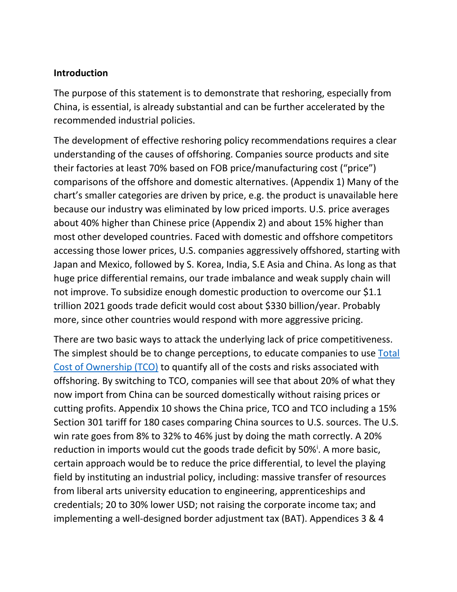### **Introduction**

The purpose of this statement is to demonstrate that reshoring, especially from China, is essential, is already substantial and can be further accelerated by the recommended industrial policies.

The development of effective reshoring policy recommendations requires a clear understanding of the causes of offshoring. Companies source products and site their factories at least 70% based on FOB price/manufacturing cost ("price") comparisons of the offshore and domestic alternatives. (Appendix 1) Many of the chart's smaller categories are driven by price, e.g. the product is unavailable here because our industry was eliminated by low priced imports. U.S. price averages about 40% higher than Chinese price (Appendix 2) and about 15% higher than most other developed countries. Faced with domestic and offshore competitors accessing those lower prices, U.S. companies aggressively offshored, starting with Japan and Mexico, followed by S. Korea, India, S.E Asia and China. As long as that huge price differential remains, our trade imbalance and weak supply chain will not improve. To subsidize enough domestic production to overcome our \$1.1 trillion 2021 goods trade deficit would cost about \$330 billion/year. Probably more, since other countries would respond with more aggressive pricing.

There are two basic ways to attack the underlying lack of price competitiveness. The simplest should be to change perceptions, to educate companies to use Total [Cost of Ownership \(TCO\)](https://reshorenow.org/tco-estimator/) to quantify all of the costs and risks associated with offshoring. By switching to TCO, companies will see that about 20% of what they now import from China can be sourced domestically without raising prices or cutting profits. Appendix 10 shows the China price, TCO and TCO including a 15% Section 301 tariff for 180 cases comparing China sources to U.S. sources. The U.S. win rate goes from 8% to 32% to 46% just by doing the math correctly. A 20% reduction in imports would cut the goods trade deficit by 50%<sup>i</sup>. A more basic, certain approach would be to reduce the price differential, to level the playing field by instituting an industrial policy, including: massive transfer of resources from liberal arts university education to engineering, apprenticeships and credentials; 20 to 30% lower USD; not raising the corporate income tax; and implementing a well-designed border adjustment tax (BAT). Appendices 3 & 4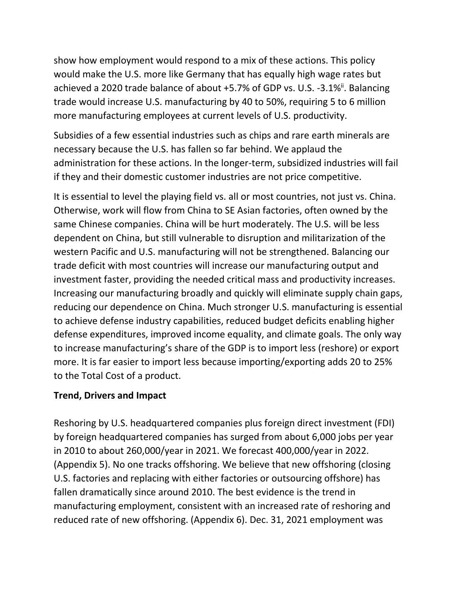show how employment would respond to a mix of these actions. This policy would make the U.S. more like Germany that has equally high wage rates but achieved a 2020 trade balance of about +5.7% of GDP vs. U.S. -3.1%<sup>ii</sup>. Balancing trade would increase U.S. manufacturing by 40 to 50%, requiring 5 to 6 million more manufacturing employees at current levels of U.S. productivity.

Subsidies of a few essential industries such as chips and rare earth minerals are necessary because the U.S. has fallen so far behind. We applaud the administration for these actions. In the longer-term, subsidized industries will fail if they and their domestic customer industries are not price competitive.

It is essential to level the playing field vs. all or most countries, not just vs. China. Otherwise, work will flow from China to SE Asian factories, often owned by the same Chinese companies. China will be hurt moderately. The U.S. will be less dependent on China, but still vulnerable to disruption and militarization of the western Pacific and U.S. manufacturing will not be strengthened. Balancing our trade deficit with most countries will increase our manufacturing output and investment faster, providing the needed critical mass and productivity increases. Increasing our manufacturing broadly and quickly will eliminate supply chain gaps, reducing our dependence on China. Much stronger U.S. manufacturing is essential to achieve defense industry capabilities, reduced budget deficits enabling higher defense expenditures, improved income equality, and climate goals. The only way to increase manufacturing's share of the GDP is to import less (reshore) or export more. It is far easier to import less because importing/exporting adds 20 to 25% to the Total Cost of a product.

### **Trend, Drivers and Impact**

Reshoring by U.S. headquartered companies plus foreign direct investment (FDI) by foreign headquartered companies has surged from about 6,000 jobs per year in 2010 to about 260,000/year in 2021. We forecast 400,000/year in 2022. (Appendix 5). No one tracks offshoring. We believe that new offshoring (closing U.S. factories and replacing with either factories or outsourcing offshore) has fallen dramatically since around 2010. The best evidence is the trend in manufacturing employment, consistent with an increased rate of reshoring and reduced rate of new offshoring. (Appendix 6). Dec. 31, 2021 employment was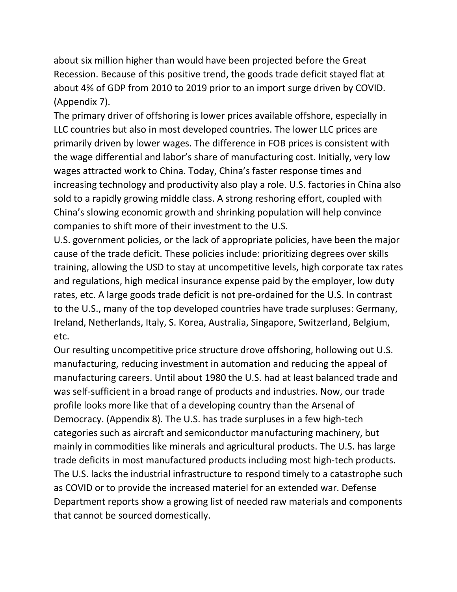about six million higher than would have been projected before the Great Recession. Because of this positive trend, the goods trade deficit stayed flat at about 4% of GDP from 2010 to 2019 prior to an import surge driven by COVID. (Appendix 7).

The primary driver of offshoring is lower prices available offshore, especially in LLC countries but also in most developed countries. The lower LLC prices are primarily driven by lower wages. The difference in FOB prices is consistent with the wage differential and labor's share of manufacturing cost. Initially, very low wages attracted work to China. Today, China's faster response times and increasing technology and productivity also play a role. U.S. factories in China also sold to a rapidly growing middle class. A strong reshoring effort, coupled with China's slowing economic growth and shrinking population will help convince companies to shift more of their investment to the U.S.

U.S. government policies, or the lack of appropriate policies, have been the major cause of the trade deficit. These policies include: prioritizing degrees over skills training, allowing the USD to stay at uncompetitive levels, high corporate tax rates and regulations, high medical insurance expense paid by the employer, low duty rates, etc. A large goods trade deficit is not pre-ordained for the U.S. In contrast to the U.S., many of the top developed countries have trade surpluses: Germany, Ireland, Netherlands, Italy, S. Korea, Australia, Singapore, Switzerland, Belgium, etc.

Our resulting uncompetitive price structure drove offshoring, hollowing out U.S. manufacturing, reducing investment in automation and reducing the appeal of manufacturing careers. Until about 1980 the U.S. had at least balanced trade and was self-sufficient in a broad range of products and industries. Now, our trade profile looks more like that of a developing country than the Arsenal of Democracy. (Appendix 8). The U.S. has trade surpluses in a few high-tech categories such as aircraft and semiconductor manufacturing machinery, but mainly in commodities like minerals and agricultural products. The U.S. has large trade deficits in most manufactured products including most high-tech products. The U.S. lacks the industrial infrastructure to respond timely to a catastrophe such as COVID or to provide the increased materiel for an extended war. Defense Department reports show a growing list of needed raw materials and components that cannot be sourced domestically.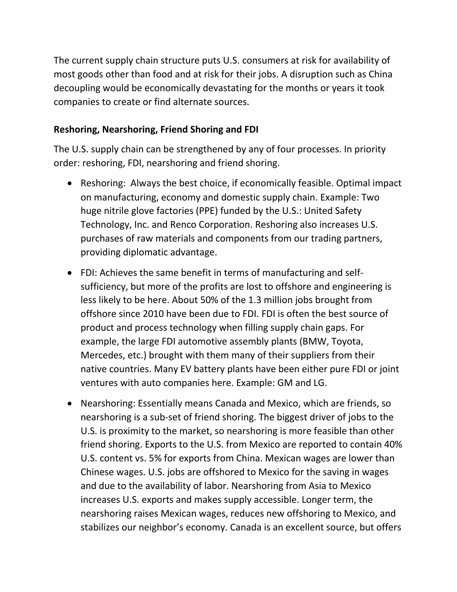The current supply chain structure puts U.S. consumers at risk for availability of most goods other than food and at risk for their jobs. A disruption such as China decoupling would be economically devastating for the months or years it took companies to create or find alternate sources.

### **Reshoring, Nearshoring, Friend Shoring and FDI**

The U.S. supply chain can be strengthened by any of four processes. In priority order: reshoring, FDI, nearshoring and friend shoring.

- Reshoring: Always the best choice, if economically feasible. Optimal impact on manufacturing, economy and domestic supply chain. Example: Two huge nitrile glove factories (PPE) funded by the U.S.: United Safety Technology, Inc. and Renco Corporation. Reshoring also increases U.S. purchases of raw materials and components from our trading partners, providing diplomatic advantage.
- FDI: Achieves the same benefit in terms of manufacturing and selfsufficiency, but more of the profits are lost to offshore and engineering is less likely to be here. About 50% of the 1.3 million jobs brought from offshore since 2010 have been due to FDI. FDI is often the best source of product and process technology when filling supply chain gaps. For example, the large FDI automotive assembly plants (BMW, Toyota, Mercedes, etc.) brought with them many of their suppliers from their native countries. Many EV battery plants have been either pure FDI or joint ventures with auto companies here. Example: GM and LG.
- Nearshoring: Essentially means Canada and Mexico, which are friends, so nearshoring is a sub-set of friend shoring. The biggest driver of jobs to the U.S. is proximity to the market, so nearshoring is more feasible than other friend shoring. Exports to the U.S. from Mexico are reported to contain 40% U.S. content vs. 5% for exports from China. Mexican wages are lower than Chinese wages. U.S. jobs are offshored to Mexico for the saving in wages and due to the availability of labor. Nearshoring from Asia to Mexico increases U.S. exports and makes supply accessible. Longer term, the nearshoring raises Mexican wages, reduces new offshoring to Mexico, and stabilizes our neighbor's economy. Canada is an excellent source, but offers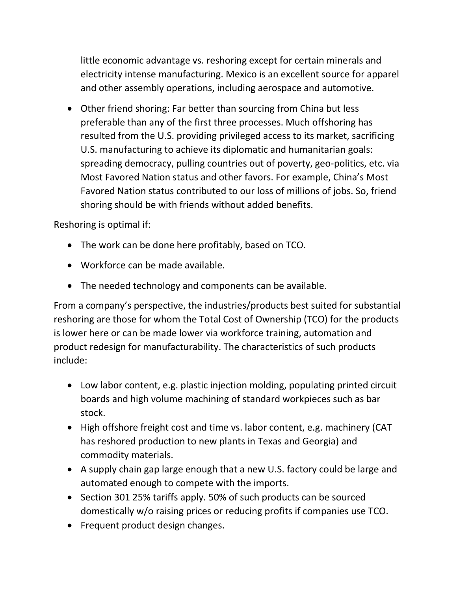little economic advantage vs. reshoring except for certain minerals and electricity intense manufacturing. Mexico is an excellent source for apparel and other assembly operations, including aerospace and automotive.

• Other friend shoring: Far better than sourcing from China but less preferable than any of the first three processes. Much offshoring has resulted from the U.S. providing privileged access to its market, sacrificing U.S. manufacturing to achieve its diplomatic and humanitarian goals: spreading democracy, pulling countries out of poverty, geo-politics, etc. via Most Favored Nation status and other favors. For example, China's Most Favored Nation status contributed to our loss of millions of jobs. So, friend shoring should be with friends without added benefits.

Reshoring is optimal if:

- The work can be done here profitably, based on TCO.
- Workforce can be made available.
- The needed technology and components can be available.

From a company's perspective, the industries/products best suited for substantial reshoring are those for whom the Total Cost of Ownership (TCO) for the products is lower here or can be made lower via workforce training, automation and product redesign for manufacturability. The characteristics of such products include:

- Low labor content, e.g. plastic injection molding, populating printed circuit boards and high volume machining of standard workpieces such as bar stock.
- High offshore freight cost and time vs. labor content, e.g. machinery (CAT has reshored production to new plants in Texas and Georgia) and commodity materials.
- A supply chain gap large enough that a new U.S. factory could be large and automated enough to compete with the imports.
- Section 301 25% tariffs apply. 50% of such products can be sourced domestically w/o raising prices or reducing profits if companies use TCO.
- Frequent product design changes.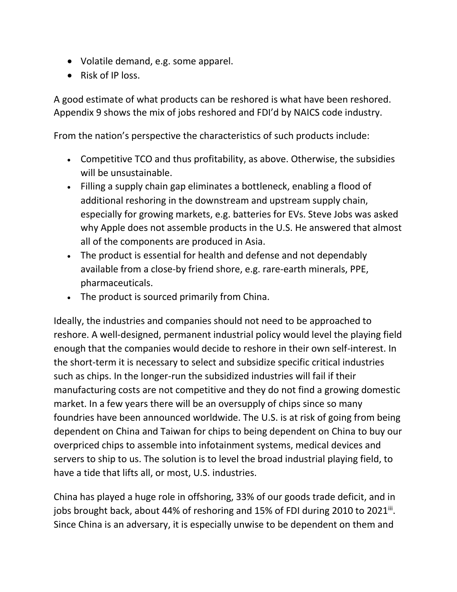- Volatile demand, e.g. some apparel.
- Risk of IP loss.

A good estimate of what products can be reshored is what have been reshored. Appendix 9 shows the mix of jobs reshored and FDI'd by NAICS code industry.

From the nation's perspective the characteristics of such products include:

- Competitive TCO and thus profitability, as above. Otherwise, the subsidies will be unsustainable.
- Filling a supply chain gap eliminates a bottleneck, enabling a flood of additional reshoring in the downstream and upstream supply chain, especially for growing markets, e.g. batteries for EVs. Steve Jobs was asked why Apple does not assemble products in the U.S. He answered that almost all of the components are produced in Asia.
- The product is essential for health and defense and not dependably available from a close-by friend shore, e.g. rare-earth minerals, PPE, pharmaceuticals.
- The product is sourced primarily from China.

Ideally, the industries and companies should not need to be approached to reshore. A well-designed, permanent industrial policy would level the playing field enough that the companies would decide to reshore in their own self-interest. In the short-term it is necessary to select and subsidize specific critical industries such as chips. In the longer-run the subsidized industries will fail if their manufacturing costs are not competitive and they do not find a growing domestic market. In a few years there will be an oversupply of chips since so many foundries have been announced worldwide. The U.S. is at risk of going from being dependent on China and Taiwan for chips to being dependent on China to buy our overpriced chips to assemble into infotainment systems, medical devices and servers to ship to us. The solution is to level the broad industrial playing field, to have a tide that lifts all, or most, U.S. industries.

China has played a huge role in offshoring, 33% of our goods trade deficit, and in jobs brought back, about 44% of reshoring and 15% of FDI during 2010 to 2021ii. Since China is an adversary, it is especially unwise to be dependent on them and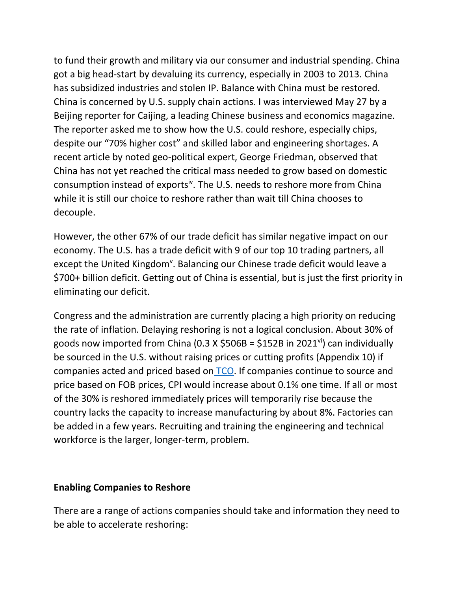to fund their growth and military via our consumer and industrial spending. China got a big head-start by devaluing its currency, especially in 2003 to 2013. China has subsidized industries and stolen IP. Balance with China must be restored. China is concerned by U.S. supply chain actions. I was interviewed May 27 by a Beijing reporter for Caijing, a leading Chinese business and economics magazine. The reporter asked me to show how the U.S. could reshore, especially chips, despite our "70% higher cost" and skilled labor and engineering shortages. A recent article by noted geo-political expert, George Friedman, observed that China has not yet reached the critical mass needed to grow based on domestic consumption instead of exports<sup>iv</sup>. The U.S. needs to reshore more from China while it is still our choice to reshore rather than wait till China chooses to decouple.

However, the other 67% of our trade deficit has similar negative impact on our economy. The U.S. has a trade deficit with 9 of our top 10 trading partners, all except the United Kingdom<sup>v</sup>. Balancing our Chinese trade deficit would leave a \$700+ billion deficit. Getting out of China is essential, but is just the first priority in eliminating our deficit.

Congress and the administration are currently placing a high priority on reducing the rate of inflation. Delaying reshoring is not a logical conclusion. About 30% of goods now imported from China (0.3 X  $$506B = $152B$  in 2021<sup>vi</sup>) can individually be sourced in the U.S. without raising prices or cutting profits (Appendix 10) if companies acted and priced based on [TCO.](https://reshorenow.org/tco-estimator/) If companies continue to source and price based on FOB prices, CPI would increase about 0.1% one time. If all or most of the 30% is reshored immediately prices will temporarily rise because the country lacks the capacity to increase manufacturing by about 8%. Factories can be added in a few years. Recruiting and training the engineering and technical workforce is the larger, longer-term, problem.

#### **Enabling Companies to Reshore**

There are a range of actions companies should take and information they need to be able to accelerate reshoring: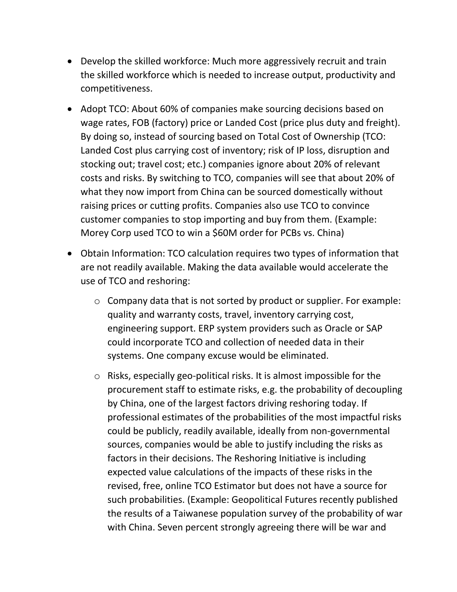- Develop the skilled workforce: Much more aggressively recruit and train the skilled workforce which is needed to increase output, productivity and competitiveness.
- Adopt TCO: About 60% of companies make sourcing decisions based on wage rates, FOB (factory) price or Landed Cost (price plus duty and freight). By doing so, instead of sourcing based on Total Cost of Ownership (TCO: Landed Cost plus carrying cost of inventory; risk of IP loss, disruption and stocking out; travel cost; etc.) companies ignore about 20% of relevant costs and risks. By switching to TCO, companies will see that about 20% of what they now import from China can be sourced domestically without raising prices or cutting profits. Companies also use TCO to convince customer companies to stop importing and buy from them. (Example: Morey Corp used TCO to win a \$60M order for PCBs vs. China)
- Obtain Information: TCO calculation requires two types of information that are not readily available. Making the data available would accelerate the use of TCO and reshoring:
	- o Company data that is not sorted by product or supplier. For example: quality and warranty costs, travel, inventory carrying cost, engineering support. ERP system providers such as Oracle or SAP could incorporate TCO and collection of needed data in their systems. One company excuse would be eliminated.
	- o Risks, especially geo-political risks. It is almost impossible for the procurement staff to estimate risks, e.g. the probability of decoupling by China, one of the largest factors driving reshoring today. If professional estimates of the probabilities of the most impactful risks could be publicly, readily available, ideally from non-governmental sources, companies would be able to justify including the risks as factors in their decisions. The Reshoring Initiative is including expected value calculations of the impacts of these risks in the revised, free, online TCO Estimator but does not have a source for such probabilities. (Example: Geopolitical Futures recently published the results of a Taiwanese population survey of the probability of war with China. Seven percent strongly agreeing there will be war and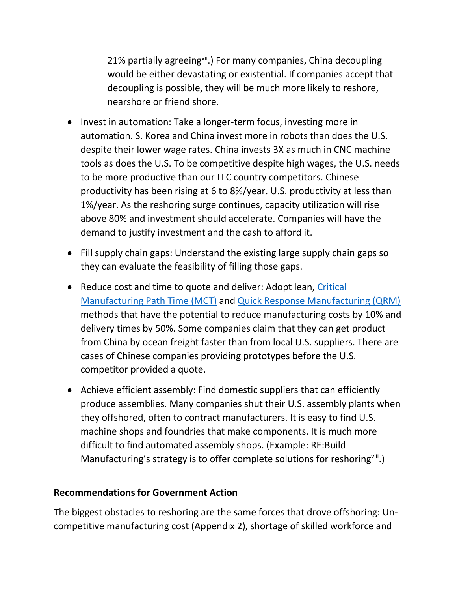21% partially agreeingvii.) For many companies, China decoupling would be either devastating or existential. If companies accept that decoupling is possible, they will be much more likely to reshore, nearshore or friend shore.

- Invest in automation: Take a longer-term focus, investing more in automation. S. Korea and China invest more in robots than does the U.S. despite their lower wage rates. China invests 3X as much in CNC machine tools as does the U.S. To be competitive despite high wages, the U.S. needs to be more productive than our LLC country competitors. Chinese productivity has been rising at 6 to 8%/year. U.S. productivity at less than 1%/year. As the reshoring surge continues, capacity utilization will rise above 80% and investment should accelerate. Companies will have the demand to justify investment and the cash to afford it.
- Fill supply chain gaps: Understand the existing large supply chain gaps so they can evaluate the feasibility of filling those gaps.
- Reduce cost and time to quote and deliver: Adopt lean, [Critical](https://www.industryweek.com/operations/continuous-improvement/article/22009577/manufacturing-criticalpath-time-a-measure-of-true-leadtime)  [Manufacturing Path Time \(MCT\)](https://www.industryweek.com/operations/continuous-improvement/article/22009577/manufacturing-criticalpath-time-a-measure-of-true-leadtime) and [Quick Response Manufacturing \(QRM\)](https://qrm.engr.wisc.edu/) methods that have the potential to reduce manufacturing costs by 10% and delivery times by 50%. Some companies claim that they can get product from China by ocean freight faster than from local U.S. suppliers. There are cases of Chinese companies providing prototypes before the U.S. competitor provided a quote.
- Achieve efficient assembly: Find domestic suppliers that can efficiently produce assemblies. Many companies shut their U.S. assembly plants when they offshored, often to contract manufacturers. It is easy to find U.S. machine shops and foundries that make components. It is much more difficult to find automated assembly shops. (Example: RE:Build Manufacturing's strategy is to offer complete solutions for reshoring<sup>viii</sup>.)

### **Recommendations for Government Action**

The biggest obstacles to reshoring are the same forces that drove offshoring: Uncompetitive manufacturing cost (Appendix 2), shortage of skilled workforce and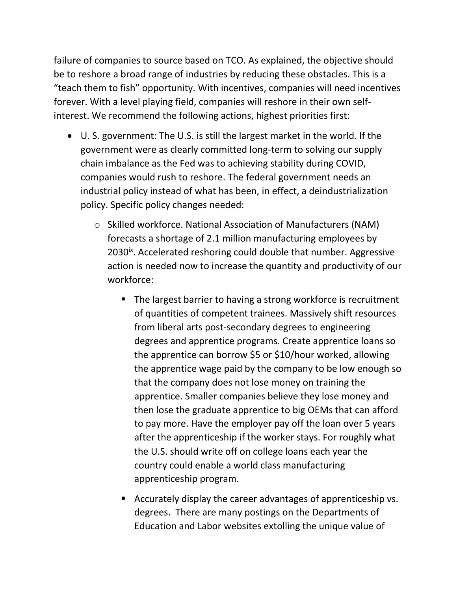failure of companies to source based on TCO. As explained, the objective should be to reshore a broad range of industries by reducing these obstacles. This is a "teach them to fish" opportunity. With incentives, companies will need incentives forever. With a level playing field, companies will reshore in their own selfinterest. We recommend the following actions, highest priorities first:

- U. S. government: The U.S. is still the largest market in the world. If the government were as clearly committed long-term to solving our supply chain imbalance as the Fed was to achieving stability during COVID, companies would rush to reshore. The federal government needs an industrial policy instead of what has been, in effect, a deindustrialization policy. Specific policy changes needed:
	- o Skilled workforce. National Association of Manufacturers (NAM) forecasts a shortage of 2.1 million manufacturing employees by 2030<sup>ix</sup>. Accelerated reshoring could double that number. Aggressive action is needed now to increase the quantity and productivity of our workforce:
		- The largest barrier to having a strong workforce is recruitment of quantities of competent trainees. Massively shift resources from liberal arts post-secondary degrees to engineering degrees and apprentice programs. Create apprentice loans so the apprentice can borrow \$5 or \$10/hour worked, allowing the apprentice wage paid by the company to be low enough so that the company does not lose money on training the apprentice. Smaller companies believe they lose money and then lose the graduate apprentice to big OEMs that can afford to pay more. Have the employer pay off the loan over 5 years after the apprenticeship if the worker stays. For roughly what the U.S. should write off on college loans each year the country could enable a world class manufacturing apprenticeship program.
		- Accurately display the career advantages of apprenticeship vs. degrees. There are many postings on the Departments of Education and Labor websites extolling the unique value of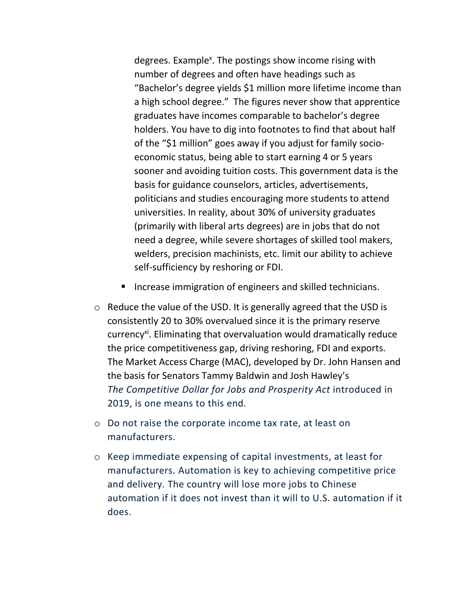degrees. Example<sup>x</sup>. The postings show income rising with number of degrees and often have headings such as "Bachelor's degree yields \$1 million more lifetime income than a high school degree." The figures never show that apprentice graduates have incomes comparable to bachelor's degree holders. You have to dig into footnotes to find that about half of the "\$1 million" goes away if you adjust for family socioeconomic status, being able to start earning 4 or 5 years sooner and avoiding tuition costs. This government data is the basis for guidance counselors, articles, advertisements, politicians and studies encouraging more students to attend universities. In reality, about 30% of university graduates (primarily with liberal arts degrees) are in jobs that do not need a degree, while severe shortages of skilled tool makers, welders, precision machinists, etc. limit our ability to achieve self-sufficiency by reshoring or FDI.

- Increase immigration of engineers and skilled technicians.
- o Reduce the value of the USD. It is generally agreed that the USD is consistently 20 to 30% overvalued since it is the primary reserve currency<sup>xi</sup>. Eliminating that overvaluation would dramatically reduce the price competitiveness gap, driving reshoring, FDI and exports. The Market Access Charge (MAC), developed by Dr. John Hansen and the basis for Senators Tammy Baldwin and Josh Hawley's *The Competitive Dollar for Jobs and Prosperity Act* introduced in 2019, is one means to this end*.*
- o Do not raise the corporate income tax rate, at least on manufacturers.
- o Keep immediate expensing of capital investments, at least for manufacturers. Automation is key to achieving competitive price and delivery. The country will lose more jobs to Chinese automation if it does not invest than it will to U.S. automation if it does.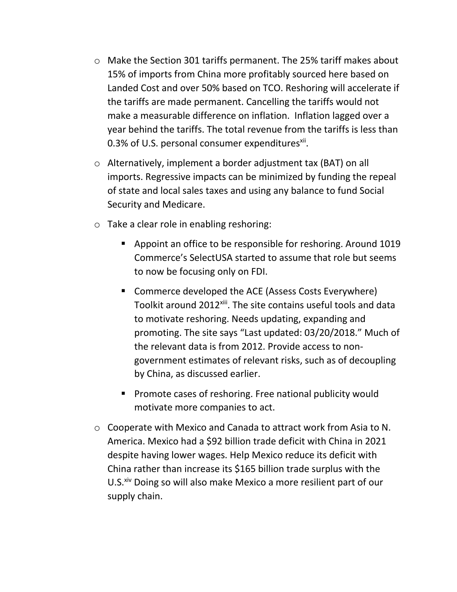- o Make the Section 301 tariffs permanent. The 25% tariff makes about 15% of imports from China more profitably sourced here based on Landed Cost and over 50% based on TCO. Reshoring will accelerate if the tariffs are made permanent. Cancelling the tariffs would not make a measurable difference on inflation. Inflation lagged over a year behind the tariffs. The total revenue from the tariffs is less than 0.3% of U.S. personal consumer expenditures<sup>xii</sup>.
- o Alternatively, implement a border adjustment tax (BAT) on all imports. Regressive impacts can be minimized by funding the repeal of state and local sales taxes and using any balance to fund Social Security and Medicare.
- o Take a clear role in enabling reshoring:
	- Appoint an office to be responsible for reshoring. Around 1019 Commerce's SelectUSA started to assume that role but seems to now be focusing only on FDI.
	- Commerce developed the ACE (Assess Costs Everywhere) Toolkit around 2012<sup>xiii</sup>. The site contains useful tools and data to motivate reshoring. Needs updating, expanding and promoting. The site says "Last updated: 03/20/2018." Much of the relevant data is from 2012. Provide access to nongovernment estimates of relevant risks, such as of decoupling by China, as discussed earlier.
	- Promote cases of reshoring. Free national publicity would motivate more companies to act.
- o Cooperate with Mexico and Canada to attract work from Asia to N. America. Mexico had a \$92 billion trade deficit with China in 2021 despite having lower wages. Help Mexico reduce its deficit with China rather than increase its \$165 billion trade surplus with the U.S.<sup>xiv</sup> Doing so will also make Mexico a more resilient part of our supply chain.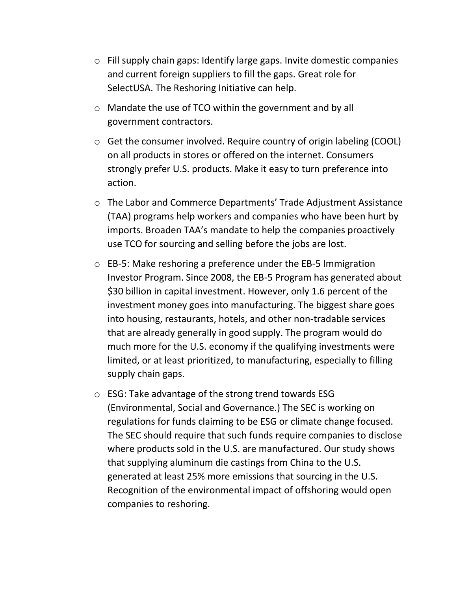- o Fill supply chain gaps: Identify large gaps. Invite domestic companies and current foreign suppliers to fill the gaps. Great role for SelectUSA. The Reshoring Initiative can help.
- o Mandate the use of TCO within the government and by all government contractors.
- o Get the consumer involved. Require country of origin labeling (COOL) on all products in stores or offered on the internet. Consumers strongly prefer U.S. products. Make it easy to turn preference into action.
- o The Labor and Commerce Departments' Trade Adjustment Assistance (TAA) programs help workers and companies who have been hurt by imports. Broaden TAA's mandate to help the companies proactively use TCO for sourcing and selling before the jobs are lost.
- o EB-5: Make reshoring a preference under the EB-5 Immigration Investor Program. Since 2008, the EB-5 Program has generated about \$30 billion in capital investment. However, only 1.6 percent of the investment money goes into manufacturing. The biggest share goes into housing, restaurants, hotels, and other non-tradable services that are already generally in good supply. The program would do much more for the U.S. economy if the qualifying investments were limited, or at least prioritized, to manufacturing, especially to filling supply chain gaps.
- o ESG: Take advantage of the strong trend towards ESG (Environmental, Social and Governance.) The SEC is working on regulations for funds claiming to be ESG or climate change focused. The SEC should require that such funds require companies to disclose where products sold in the U.S. are manufactured. Our study shows that supplying aluminum die castings from China to the U.S. generated at least 25% more emissions that sourcing in the U.S. Recognition of the environmental impact of offshoring would open companies to reshoring.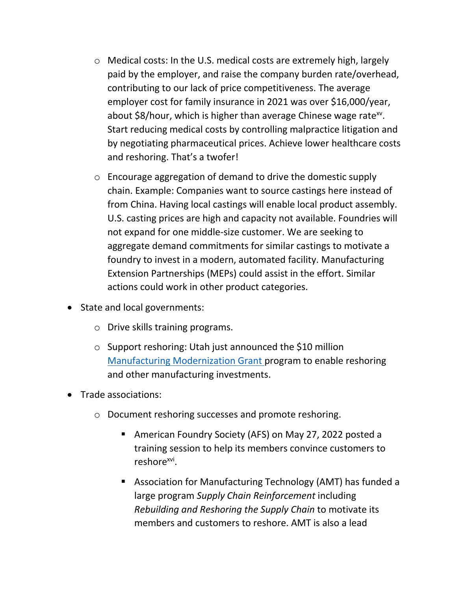- o Medical costs: In the U.S. medical costs are extremely high, largely paid by the employer, and raise the company burden rate/overhead, contributing to our lack of price competitiveness. The average employer cost for family insurance in 2021 was over \$16,000/year, about \$8/hour, which is higher than average Chinese wage rate<sup>xv</sup>. Start reducing medical costs by controlling malpractice litigation and by negotiating pharmaceutical prices. Achieve lower healthcare costs and reshoring. That's a twofer!
- o Encourage aggregation of demand to drive the domestic supply chain. Example: Companies want to source castings here instead of from China. Having local castings will enable local product assembly. U.S. casting prices are high and capacity not available. Foundries will not expand for one middle-size customer. We are seeking to aggregate demand commitments for similar castings to motivate a foundry to invest in a modern, automated facility. Manufacturing Extension Partnerships (MEPs) could assist in the effort. Similar actions could work in other product categories.
- State and local governments:
	- o Drive skills training programs.
	- o Support reshoring: Utah just announced the \$10 million [Manufacturing Modernization Grant p](https://business.utah.gov/news/new-utah-manufacturing-modernization-grant-announced/)rogram to enable reshoring and other manufacturing investments.
- Trade associations:
	- o Document reshoring successes and promote reshoring.
		- American Foundry Society (AFS) on May 27, 2022 posted a training session to help its members convince customers to reshore<sup>xvi</sup>.
		- Association for Manufacturing Technology (AMT) has funded a large program *Supply Chain Reinforcement* including *Rebuilding and Reshoring the Supply Chain* to motivate its members and customers to reshore. AMT is also a lead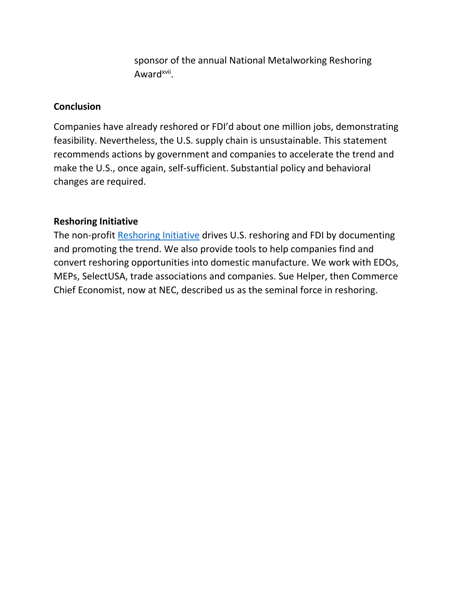sponsor of the annual National Metalworking Reshoring Award<sup>xvii</sup>.

#### **Conclusion**

Companies have already reshored or FDI'd about one million jobs, demonstrating feasibility. Nevertheless, the U.S. supply chain is unsustainable. This statement recommends actions by government and companies to accelerate the trend and make the U.S., once again, self-sufficient. Substantial policy and behavioral changes are required.

### **Reshoring Initiative**

The non-profit [Reshoring Initiative](http://www.reshorenow.org/) drives U.S. reshoring and FDI by documenting and promoting the trend. We also provide tools to help companies find and convert reshoring opportunities into domestic manufacture. We work with EDOs, MEPs, SelectUSA, trade associations and companies. Sue Helper, then Commerce Chief Economist, now at NEC, described us as the seminal force in reshoring.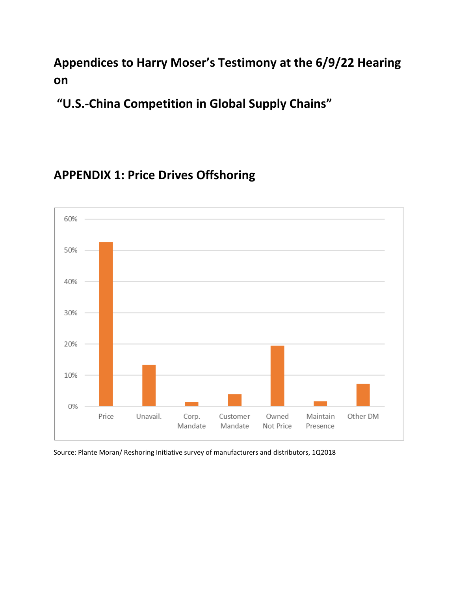### **Appendices to Harry Moser's Testimony at the 6/9/22 Hearing on**

**"U.S.-China Competition in Global Supply Chains"**

### **APPENDIX 1: Price Drives Offshoring**



Source: Plante Moran/ Reshoring Initiative survey of manufacturers and distributors, 1Q2018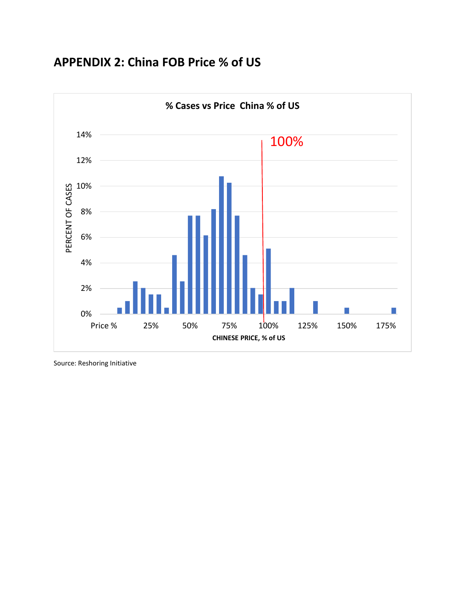### **APPENDIX 2: China FOB Price % of US**



Source: Reshoring Initiative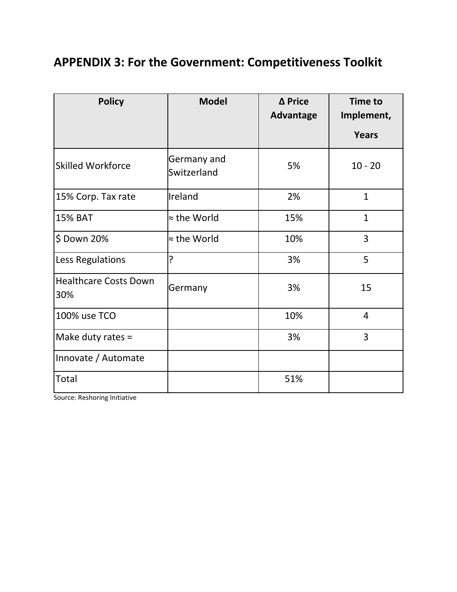## **APPENDIX 3: For the Government: Competitiveness Toolkit**

| <b>Policy</b>                       | <b>Model</b>               | Δ Price<br><b>Advantage</b> | <b>Time to</b><br>Implement, |
|-------------------------------------|----------------------------|-----------------------------|------------------------------|
|                                     |                            |                             | <b>Years</b>                 |
| <b>Skilled Workforce</b>            | Germany and<br>Switzerland | 5%                          | $10 - 20$                    |
| 15% Corp. Tax rate                  | Ireland                    | 2%                          | $\mathbf{1}$                 |
| <b>15% BAT</b>                      | ≈ the World                | 15%                         | $\mathbf{1}$                 |
| \$ Down 20%                         | $\approx$ the World        | 10%                         | 3                            |
| Less Regulations                    | ?                          | 3%                          | 5                            |
| <b>Healthcare Costs Down</b><br>30% | Germany                    | 3%                          | 15                           |
| 100% use TCO                        |                            | 10%                         | $\overline{4}$               |
| Make duty rates =                   |                            | 3%                          | 3                            |
| Innovate / Automate                 |                            |                             |                              |
| Total                               |                            | 51%                         |                              |

Source: Reshoring Initiative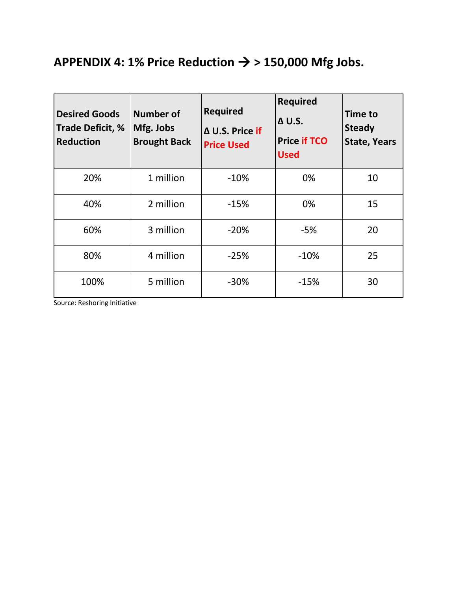# APPENDIX 4: 1% Price Reduction  $\rightarrow$  > 150,000 Mfg Jobs.

| <b>Desired Goods</b><br>Trade Deficit, %<br><b>Reduction</b> | <b>Number of</b><br>Mfg. Jobs<br><b>Brought Back</b> | <b>Required</b><br>Δ U.S. Price if<br><b>Price Used</b> | <b>Required</b><br>$\Delta$ U.S.<br><b>Price if TCO</b><br><b>Used</b> | <b>Time to</b><br><b>Steady</b><br><b>State, Years</b> |
|--------------------------------------------------------------|------------------------------------------------------|---------------------------------------------------------|------------------------------------------------------------------------|--------------------------------------------------------|
| 20%                                                          | 1 million                                            | $-10%$                                                  | 0%                                                                     | 10                                                     |
| 40%                                                          | 2 million                                            | $-15%$                                                  | 0%                                                                     | 15                                                     |
| 60%                                                          | 3 million                                            | $-20%$                                                  | $-5%$                                                                  | 20                                                     |
| 80%                                                          | 4 million                                            | $-25%$                                                  | $-10%$                                                                 | 25                                                     |
| 100%                                                         | 5 million                                            | $-30%$                                                  | $-15%$                                                                 | 30                                                     |

Source: Reshoring Initiative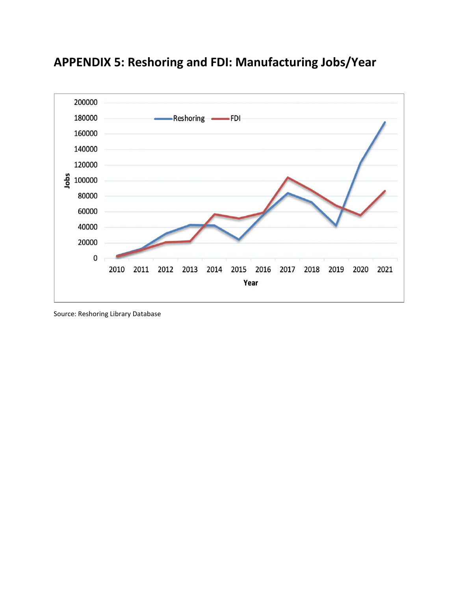

# **APPENDIX 5: Reshoring and FDI: Manufacturing Jobs/Year**

Source: Reshoring Library Database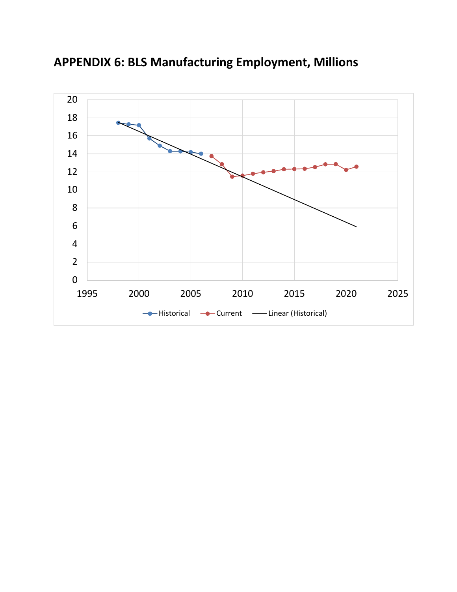

**APPENDIX 6: BLS Manufacturing Employment, Millions**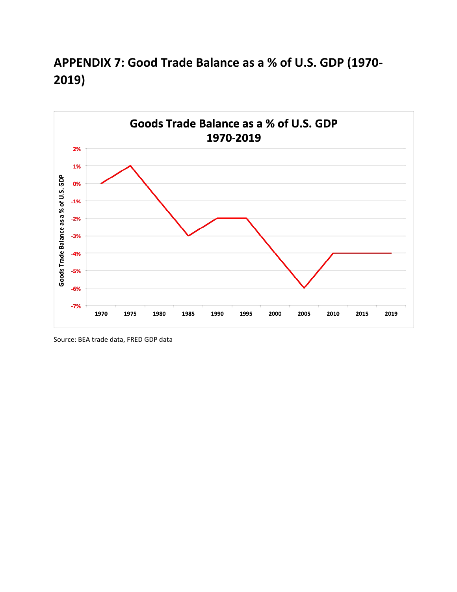## **APPENDIX 7: Good Trade Balance as a % of U.S. GDP (1970- 2019)**



Source: BEA trade data, FRED GDP data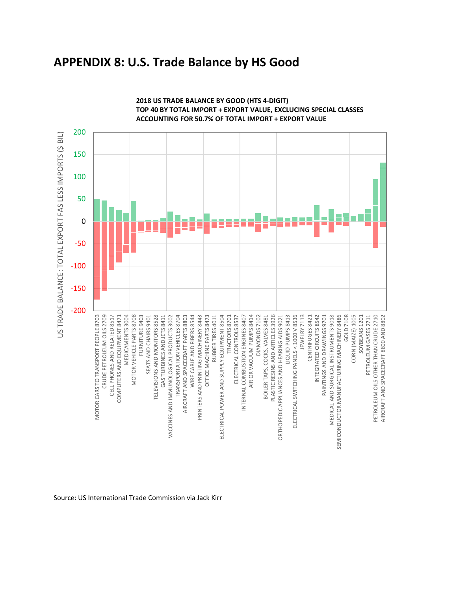### **APPENDIX 8: U.S. Trade Balance by HS Good**



**2018 US TRADE BALANCE BY GOOD (HTS 4-DIGIT) TOP 40 BY TOTAL IMPORT + EXPORT VALUE, EXCLUCING SPECIAL CLASSES ACCOUNTING FOR 50.7% OF TOTAL IMPORT + EXPORT VALUE**

Source: US International Trade Commission via Jack Kirr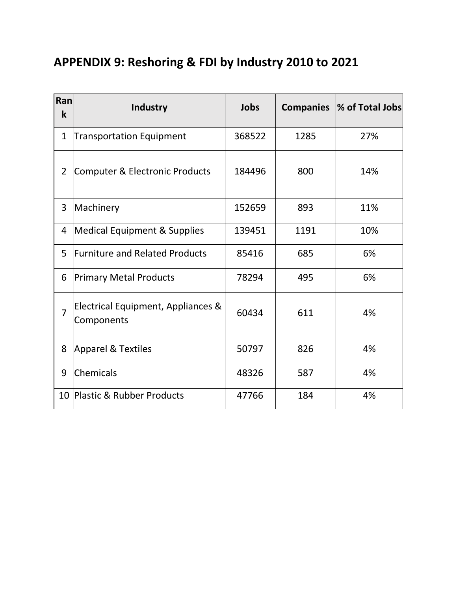# **APPENDIX 9: Reshoring & FDI by Industry 2010 to 2021**

| Ran<br>k       | <b>Industry</b>                                  | Jobs   | <b>Companies</b> | % of Total Jobs |
|----------------|--------------------------------------------------|--------|------------------|-----------------|
| 1              | <b>Transportation Equipment</b>                  | 368522 | 1285             | 27%             |
| $\overline{2}$ | Computer & Electronic Products                   | 184496 | 800              | 14%             |
| 3              | Machinery                                        | 152659 | 893              | 11%             |
| 4              | <b>Medical Equipment &amp; Supplies</b>          | 139451 | 1191             | 10%             |
| 5              | <b>Furniture and Related Products</b>            | 85416  | 685              | 6%              |
| 6              | <b>Primary Metal Products</b>                    | 78294  | 495              | 6%              |
| 7              | Electrical Equipment, Appliances &<br>Components | 60434  | 611              | 4%              |
| 8              | <b>Apparel &amp; Textiles</b>                    | 50797  | 826              | 4%              |
| 9              | Chemicals                                        | 48326  | 587              | 4%              |
| 10             | <b>Plastic &amp; Rubber Products</b>             | 47766  | 184              | 4%              |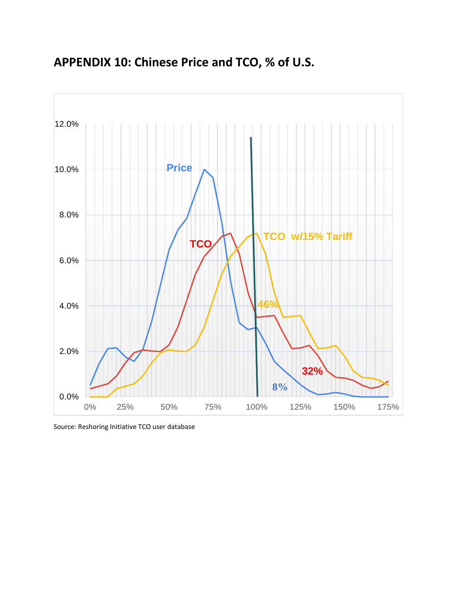

### **APPENDIX 10: Chinese Price and TCO, % of U.S.**

Source: Reshoring Initiative TCO user database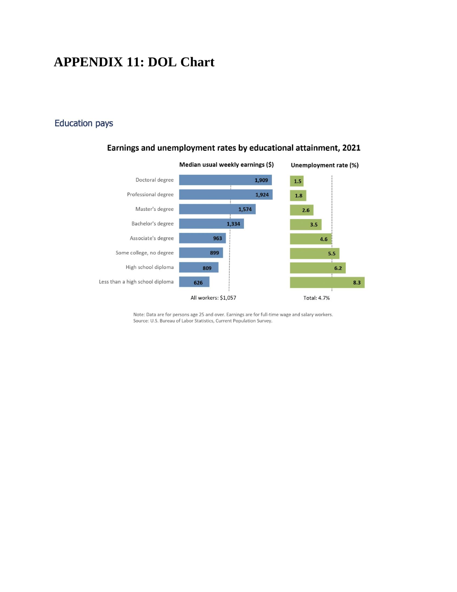### **APPENDIX 11: DOL Chart**

#### **Education pays**



#### Earnings and unemployment rates by educational attainment, 2021

Note: Data are for persons age 25 and over. Earnings are for full-time wage and salary workers. Source: U.S. Bureau of Labor Statistics, Current Population Survey.